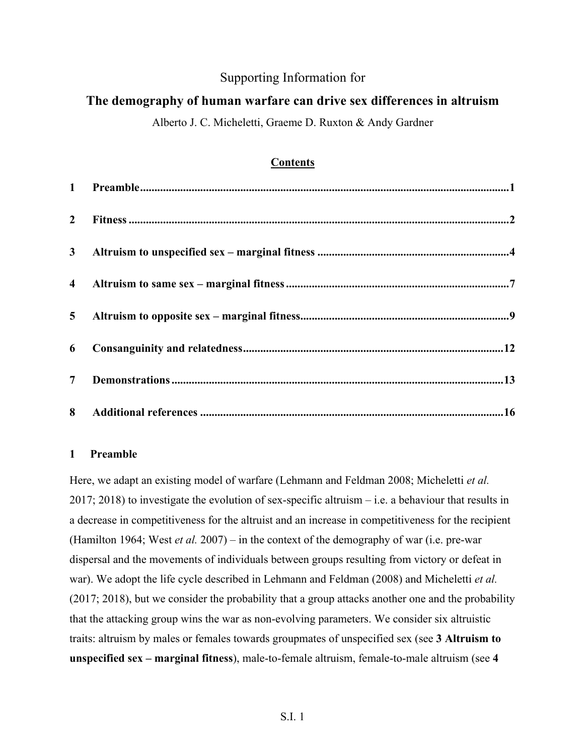# Supporting Information for

# **The demography of human warfare can drive sex differences in altruism**

Alberto J. C. Micheletti, Graeme D. Ruxton & Andy Gardner

## **Contents**

| 1                       |  |
|-------------------------|--|
| $\mathbf{2}$            |  |
| $\mathbf{3}$            |  |
| $\overline{\mathbf{4}}$ |  |
| 5 <sup>5</sup>          |  |
| 6                       |  |
| 7 <sup>1</sup>          |  |
| 8                       |  |

## **1 Preamble**

Here, we adapt an existing model of warfare (Lehmann and Feldman 2008; Micheletti *et al.*  $2017$ ;  $2018$ ) to investigate the evolution of sex-specific altruism – i.e. a behaviour that results in a decrease in competitiveness for the altruist and an increase in competitiveness for the recipient (Hamilton 1964; West *et al.* 2007) – in the context of the demography of war (i.e. pre-war dispersal and the movements of individuals between groups resulting from victory or defeat in war). We adopt the life cycle described in Lehmann and Feldman (2008) and Micheletti *et al.* (2017; 2018), but we consider the probability that a group attacks another one and the probability that the attacking group wins the war as non-evolving parameters. We consider six altruistic traits: altruism by males or females towards groupmates of unspecified sex (see **3 Altruism to unspecified sex – marginal fitness**), male-to-female altruism, female-to-male altruism (see **4**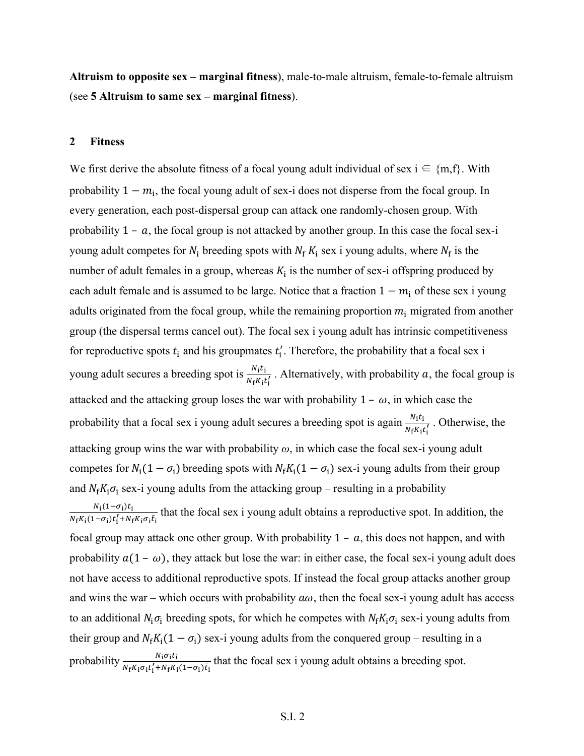**Altruism to opposite sex – marginal fitness**), male-to-male altruism, female-to-female altruism (see **5 Altruism to same sex – marginal fitness**).

### **2 Fitness**

We first derive the absolute fitness of a focal young adult individual of sex  $i \in \{m,f\}$ . With probability  $1 - m_i$ , the focal young adult of sex-i does not disperse from the focal group. In every generation, each post-dispersal group can attack one randomly-chosen group. With probability  $1 - a$ , the focal group is not attacked by another group. In this case the focal sex-i young adult competes for  $N_i$  breeding spots with  $N_f K_i$  sex i young adults, where  $N_f$  is the number of adult females in a group, whereas  $K_i$  is the number of sex-i offspring produced by each adult female and is assumed to be large. Notice that a fraction  $1 - m_i$  of these sex i young adults originated from the focal group, while the remaining proportion  $m_i$  migrated from another group (the dispersal terms cancel out). The focal sex i young adult has intrinsic competitiveness for reproductive spots  $t_i$  and his groupmates  $t'_i$ . Therefore, the probability that a focal sex i young adult secures a breeding spot is  $\frac{N_1t_1}{N_fK_1t_1'}$ . Alternatively, with probability a, the focal group is attacked and the attacking group loses the war with probability  $1 - \omega$ , in which case the probability that a focal sex i young adult secures a breeding spot is again  $\frac{N_i t_i}{N_f K_i t'_i}$ . Otherwise, the attacking group wins the war with probability *ω*, in which case the focal sex-i young adult competes for  $N_i(1 - \sigma_i)$  breeding spots with  $N_f K_i(1 - \sigma_i)$  sex-i young adults from their group and  $N_f K_i \sigma_i$  sex-i young adults from the attacking group – resulting in a probability  $N_i(1-\sigma_i)t_i$  $\frac{N_i(1-\sigma_i)\mu_i}{N_fK_i(1-\sigma_i)t'_i+N_fK_i\sigma_i\bar{t}_i}$  that the focal sex i young adult obtains a reproductive spot. In addition, the focal group may attack one other group. With probability  $1 - a$ , this does not happen, and with probability  $a(1 - \omega)$ , they attack but lose the war: in either case, the focal sex-i young adult does not have access to additional reproductive spots. If instead the focal group attacks another group and wins the war – which occurs with probability  $a\omega$ , then the focal sex-i young adult has access to an additional  $N_i \sigma_i$  breeding spots, for which he competes with  $N_f K_i \sigma_i$  sex-i young adults from their group and  $N_f K_i(1 - \sigma_i)$  sex-i young adults from the conquered group – resulting in a probability  $\frac{N_1\sigma_1t_1}{N_fK_1\sigma_1t_1'+N_fK_1(1-\sigma_1)\bar{t}_1}$  that the focal sex i young adult obtains a breeding spot.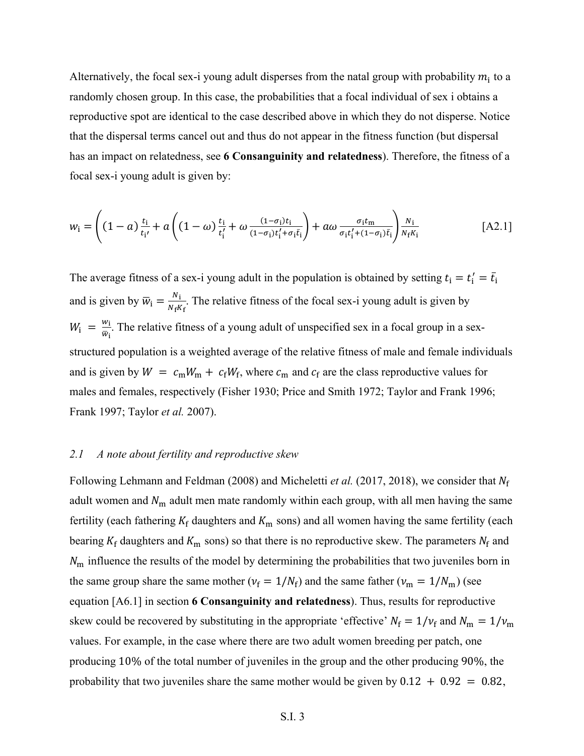Alternatively, the focal sex-i young adult disperses from the natal group with probability  $m_i$  to a randomly chosen group. In this case, the probabilities that a focal individual of sex i obtains a reproductive spot are identical to the case described above in which they do not disperse. Notice that the dispersal terms cancel out and thus do not appear in the fitness function (but dispersal has an impact on relatedness, see **6 Consanguinity and relatedness**). Therefore, the fitness of a focal sex-i young adult is given by:

$$
w_{i} = \left( (1 - a) \frac{t_{i}}{t_{i'}} + a \left( (1 - \omega) \frac{t_{i}}{t'_{i}} + \omega \frac{(1 - \sigma_{i}) t_{i}}{(1 - \sigma_{i}) t'_{i} + \sigma_{i} \bar{t}_{i}} \right) + a \omega \frac{\sigma_{i} t_{m}}{\sigma_{i} t'_{i} + (1 - \sigma_{i}) \bar{t}_{i}} \right) \frac{N_{i}}{N_{f} K_{i}}
$$
\n[A2.1]

The average fitness of a sex-i young adult in the population is obtained by setting  $t_i = t'_i = \bar{t}_i$ and is given by  $\overline{w}_i = \frac{N_i}{N_f K_f}$ . The relative fitness of the focal sex-i young adult is given by  $W_i = \frac{w_i}{\overline{w}_i}$ . The relative fitness of a young adult of unspecified sex in a focal group in a sexstructured population is a weighted average of the relative fitness of male and female individuals and is given by  $W = c_m W_m + c_f W_f$ , where  $c_m$  and  $c_f$  are the class reproductive values for males and females, respectively (Fisher 1930; Price and Smith 1972; Taylor and Frank 1996; Frank 1997; Taylor *et al.* 2007).

### *2.1 A note about fertility and reproductive skew*

Following Lehmann and Feldman (2008) and Micheletti *et al.* (2017, 2018), we consider that N<sub>f</sub> adult women and  $N<sub>m</sub>$  adult men mate randomly within each group, with all men having the same fertility (each fathering  $K_f$  daughters and  $K_m$  sons) and all women having the same fertility (each bearing  $K_f$  daughters and  $K_m$  sons) so that there is no reproductive skew. The parameters  $N_f$  and  $N<sub>m</sub>$  influence the results of the model by determining the probabilities that two juveniles born in the same group share the same mother ( $v_f = 1/N_f$ ) and the same father ( $v_m = 1/N_m$ ) (see equation [A6.1] in section **6 Consanguinity and relatedness**). Thus, results for reproductive skew could be recovered by substituting in the appropriate 'effective'  $N_f = 1/v_f$  and  $N_m = 1/v_m$ values. For example, in the case where there are two adult women breeding per patch, one producing 10% of the total number of juveniles in the group and the other producing 90%, the probability that two juveniles share the same mother would be given by  $0.12 + 0.92 = 0.82$ ,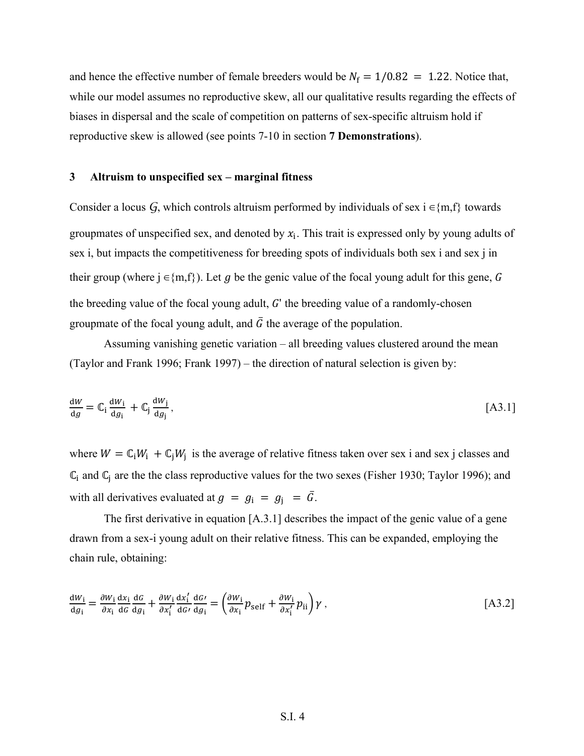and hence the effective number of female breeders would be  $N_f = 1/0.82 = 1.22$ . Notice that, while our model assumes no reproductive skew, all our qualitative results regarding the effects of biases in dispersal and the scale of competition on patterns of sex-specific altruism hold if reproductive skew is allowed (see points 7-10 in section **7 Demonstrations**).

#### **3 Altruism to unspecified sex – marginal fitness**

Consider a locus  $G$ , which controls altruism performed by individuals of sex i  $\in$ {m,f} towards groupmates of unspecified sex, and denoted by  $x_i$ . This trait is expressed only by young adults of sex i, but impacts the competitiveness for breeding spots of individuals both sex i and sex j in their group (where  $j \in \{m, f\}$ ). Let g be the genic value of the focal young adult for this gene, G the breeding value of the focal young adult,  $G'$  the breeding value of a randomly-chosen groupmate of the focal young adult, and  $\bar{G}$  the average of the population.

Assuming vanishing genetic variation – all breeding values clustered around the mean (Taylor and Frank 1996; Frank 1997) – the direction of natural selection is given by:

$$
\frac{\mathrm{d}W}{\mathrm{d}g} = \mathbb{C}_{\mathbf{i}} \frac{\mathrm{d}W_{\mathbf{i}}}{\mathrm{d}g_{\mathbf{i}}} + \mathbb{C}_{\mathbf{j}} \frac{\mathrm{d}W_{\mathbf{j}}}{\mathrm{d}g_{\mathbf{j}}},\tag{A3.1}
$$

where  $W = \mathbb{C}_{i}W_{i} + \mathbb{C}_{i}W_{j}$  is the average of relative fitness taken over sex i and sex j classes and  $\mathbb{C}_i$  and  $\mathbb{C}_j$  are the the class reproductive values for the two sexes (Fisher 1930; Taylor 1996); and with all derivatives evaluated at  $g = g_i = g_j = \bar{G}$ .

The first derivative in equation [A.3.1] describes the impact of the genic value of a gene drawn from a sex-i young adult on their relative fitness. This can be expanded, employing the chain rule, obtaining:

$$
\frac{d w_i}{d g_i} = \frac{\partial w_i}{\partial x_i} \frac{d x_i}{d G} \frac{d G}{d g_i} + \frac{\partial w_i}{\partial x'_i} \frac{d x'_i}{d G'} \frac{d G'}{d g_i} = \left(\frac{\partial w_i}{\partial x_i} p_{\text{self}} + \frac{\partial w_i}{\partial x'_i} p_{\text{ii}}\right) \gamma ,\tag{A3.2}
$$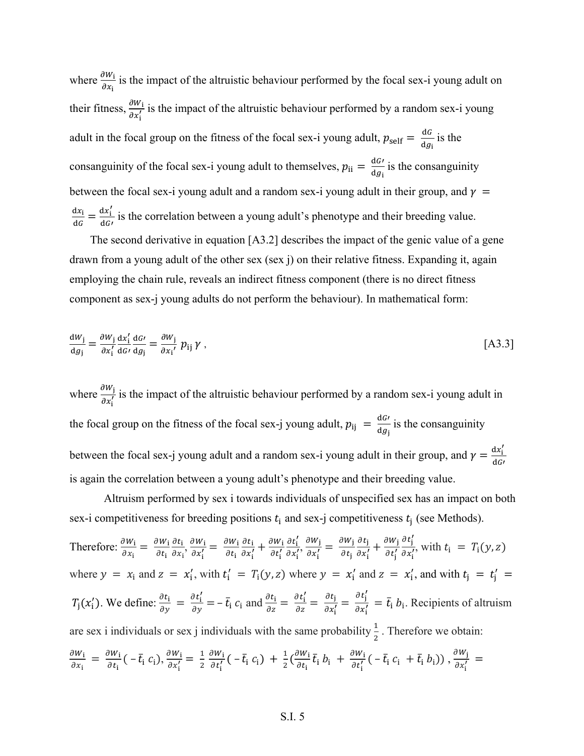where  $\frac{\partial W_i}{\partial x_i}$  is the impact of the altruistic behaviour performed by the focal sex-i young adult on their fitness,  $\frac{\partial W_i}{\partial x'_i}$  is the impact of the altruistic behaviour performed by a random sex-i young adult in the focal group on the fitness of the focal sex-i young adult,  $p_{\text{self}} = \frac{dG}{dg_i}$  is the consanguinity of the focal sex-i young adult to themselves,  $p_{ii} = \frac{dG}{dg_i}$  is the consanguinity between the focal sex-i young adult and a random sex-i young adult in their group, and  $\gamma$  =  $\frac{dx_i}{dG} = \frac{dx'_i}{dG'}$  is the correlation between a young adult's phenotype and their breeding value.

The second derivative in equation [A3.2] describes the impact of the genic value of a gene drawn from a young adult of the other sex (sex j) on their relative fitness. Expanding it, again employing the chain rule, reveals an indirect fitness component (there is no direct fitness component as sex-j young adults do not perform the behaviour). In mathematical form:

$$
\frac{\mathrm{d}w_{\mathbf{j}}}{\mathrm{d}g_{\mathbf{j}}} = \frac{\partial w_{\mathbf{j}}}{\partial x'_{\mathbf{i}}} \frac{\mathrm{d}x'_{\mathbf{i}}}{\mathrm{d}G'} \frac{\mathrm{d}G}{\mathrm{d}g_{\mathbf{j}}} = \frac{\partial w_{\mathbf{j}}}{\partial x_{\mathbf{i}'}} p_{\mathbf{i}\mathbf{j}} p_{\mathbf{j}} p_{\mathbf{j}} ,
$$
\n[A3.3]

where  $\frac{\partial w_j}{\partial x'_i}$  is the impact of the altruistic behaviour performed by a random sex-i young adult in the focal group on the fitness of the focal sex-j young adult,  $p_{ij} = \frac{dG}{dg_j}$  is the consanguinity between the focal sex-j young adult and a random sex-i young adult in their group, and  $\gamma = \frac{dx'_1}{d\sigma}$  $dG$ is again the correlation between a young adult's phenotype and their breeding value.

Altruism performed by sex i towards individuals of unspecified sex has an impact on both sex-i competitiveness for breeding positions  $t_i$  and sex-j competitiveness  $t_j$  (see Methods).

Therefore:  $\frac{\partial w_i}{\partial x_i} = \frac{\partial w_i}{\partial t_i}$  $\partial t_{\mathbf{i}}$  $\frac{\partial t_i}{\partial x_i}, \frac{\partial W_i}{\partial x'_i}$  $\frac{\partial W_{\rm i}}{\partial x'_{\rm i}} = \frac{\partial W_{\rm i}}{\partial t_{\rm i}}$  $\partial t_{\mathbf{i}}$  $\frac{\partial t_i}{\partial x'_i} + \frac{\partial W_i}{\partial t'_i} \frac{\partial t'_i}{\partial x'_i}$  $\frac{\partial t'_i}{\partial x'_i}, \frac{\partial W_j}{\partial x'_i}$  $\frac{\partial w_j}{\partial x'_i} = \frac{\partial w_j}{\partial t_j}$  $\partial t_{\mathsf{j}}$  $\frac{\partial t_j}{\partial x'_i} + \frac{\partial W_j}{\partial t'_j}$  $\overline{\partial t'_j}$  $\partial t_{\mathsf{j}}'$  $\frac{\partial c_i}{\partial x'_i}$ , with  $t_i = T_i(y, z)$ where  $y = x_i$  and  $z = x'_i$ , with  $t'_i = T_i(y, z)$  where  $y = x'_i$  and  $z = x'_i$ , and with  $t_j = t'_j$  $T_j(x'_i)$ . We define:  $\frac{\partial t_i}{\partial y} = \frac{\partial t'_i}{\partial y} = -\bar{t}_i c_i$  and  $\frac{\partial t_i}{\partial z} = \frac{\partial t'_i}{\partial z} = \frac{\partial t_j}{\partial x'_i} = \frac{\partial t'_j}{\partial x'_i}$  $\frac{\partial v_i}{\partial x'_i} = \bar{t}_i b_i$ . Recipients of altruism are sex i individuals or sex j individuals with the same probability  $\frac{1}{2}$ . Therefore we obtain:  $\partial W_{\bf i}$  $\frac{\partial w_i}{\partial x_i} = \frac{\partial w_i}{\partial t_i} (-\bar{t}_i c_i), \frac{\partial w_i}{\partial x'_i}$  $\frac{\partial W_{\rm i}}{\partial x'_{\rm i}} = \frac{1}{2}$  $\partial W_{\bf i}$  $\frac{\partial w_i}{\partial t'_i}$  ( -  $\bar{t}_i$  c<sub>i</sub>) +  $\frac{1}{2}$  ( $\frac{\partial w_i}{\partial t_i}$  $\frac{\partial W_i}{\partial t_i} \bar{t}_i b_i + \frac{\partial W_i}{\partial t'_i} (-\bar{t}_i c_i + \bar{t}_i b_i)), \frac{\partial W_j}{\partial x'_i}$  $\frac{\partial w_j}{\partial x'_i}$  =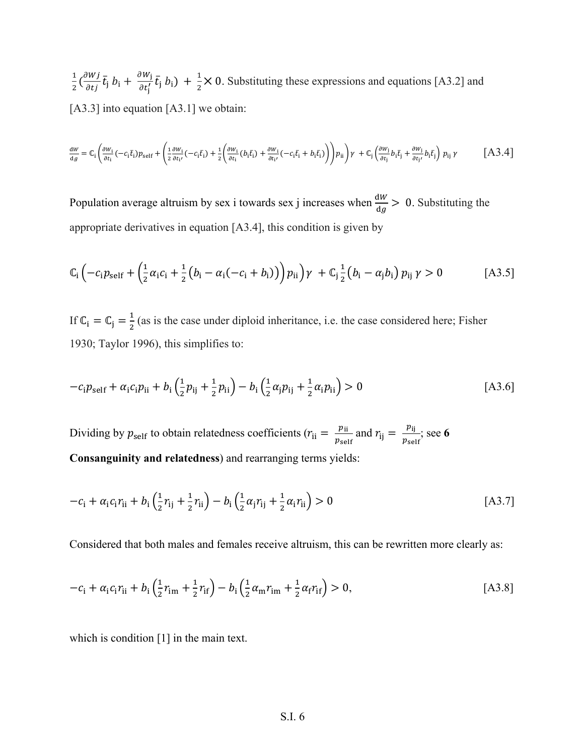$rac{1}{2}(\frac{\partial Wj}{\partial tj})$  $\frac{\partial Wj}{\partial t_j}\bar{t}_j b_i + \frac{\partial W_j}{\partial t'_i}$  $\frac{\partial w_j}{\partial t'_j}$   $\bar{t}_j$   $b_i$ ) +  $\frac{1}{2}$  × 0. Substituting these expressions and equations [A3.2] and [A3.3] into equation [A3.1] we obtain:

$$
\frac{dw}{dg} = \mathbb{C}_{i} \left( \frac{\partial w_{i}}{\partial t_{i}} (-c_{i}\bar{t}_{i}) p_{\text{self}} + \left( \frac{1}{2} \frac{\partial w_{i}}{\partial t_{i'}} (-c_{i}\bar{t}_{i}) + \frac{1}{2} \left( \frac{\partial w_{i}}{\partial t_{i}} (b_{i}\bar{t}_{i}) + \frac{\partial w_{i}}{\partial t_{i'}} (-c_{i}\bar{t}_{i} + b_{i}\bar{t}_{i}) \right) \right) p_{ii} \right) \gamma + \mathbb{C}_{j} \left( \frac{\partial w_{i}}{\partial t_{j}} b_{i}\bar{t}_{j} + \frac{\partial w_{i}}{\partial t_{j'}} b_{i}\bar{t}_{j} \right) p_{ij} \gamma \qquad [A3.4]
$$

Population average altruism by sex i towards sex j increases when  $\frac{dw}{dg} > 0$ . Substituting the appropriate derivatives in equation [A3.4], this condition is given by

$$
\mathbb{C}_{i}\left(-c_{i}p_{\text{self}}+\left(\frac{1}{2}\alpha_{i}c_{i}+\frac{1}{2}\left(b_{i}-\alpha_{i}(-c_{i}+b_{i})\right)\right)p_{\text{ii}}\right)\gamma + \mathbb{C}_{j}\frac{1}{2}\left(b_{i}-\alpha_{j}b_{i}\right)p_{\text{ij}}\gamma > 0
$$
\n(A3.5)

If  $\mathbb{C}_i = \mathbb{C}_j = \frac{1}{2}$  (as is the case under diploid inheritance, i.e. the case considered here; Fisher 1930; Taylor 1996), this simplifies to:

$$
-c_{i}p_{\text{self}} + \alpha_{i}c_{i}p_{\text{ii}} + b_{i}\left(\frac{1}{2}p_{\text{ij}} + \frac{1}{2}p_{\text{ii}}\right) - b_{i}\left(\frac{1}{2}\alpha_{j}p_{\text{ij}} + \frac{1}{2}\alpha_{i}p_{\text{ii}}\right) > 0
$$
 [A3.6]

Dividing by  $p_{\text{self}}$  to obtain relatedness coefficients ( $r_{\text{ii}} = \frac{p_{\text{ii}}}{p_{\text{self}}}$  and  $r_{\text{ij}} = \frac{p_{\text{ij}}}{p_{\text{self}}}$ ; see 6 **Consanguinity and relatedness**) and rearranging terms yields:

$$
-c_{i} + \alpha_{i}c_{i}r_{ii} + b_{i}\left(\frac{1}{2}r_{ij} + \frac{1}{2}r_{ii}\right) - b_{i}\left(\frac{1}{2}\alpha_{j}r_{ij} + \frac{1}{2}\alpha_{i}r_{ii}\right) > 0
$$
 [A3.7]

Considered that both males and females receive altruism, this can be rewritten more clearly as:

$$
-c_{i} + \alpha_{i}c_{i}r_{ii} + b_{i}\left(\frac{1}{2}r_{im} + \frac{1}{2}r_{if}\right) - b_{i}\left(\frac{1}{2}\alpha_{m}r_{im} + \frac{1}{2}\alpha_{f}r_{if}\right) > 0, \qquad [A3.8]
$$

which is condition [1] in the main text.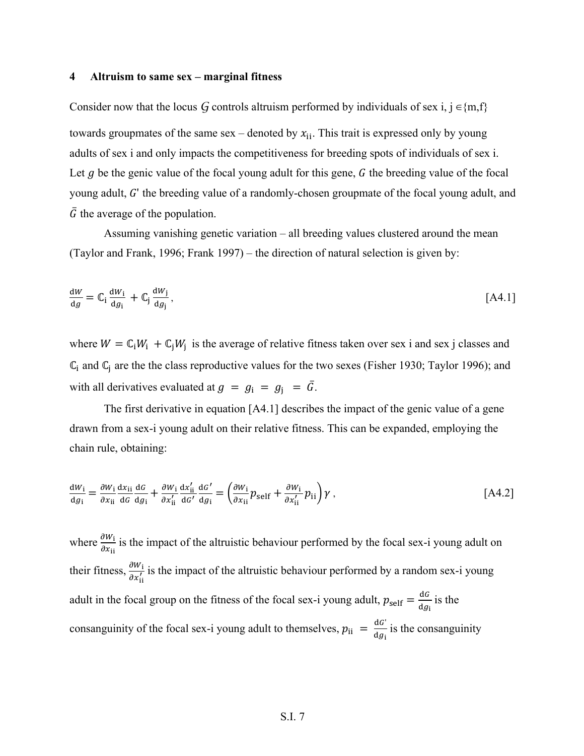### **4 Altruism to same sex – marginal fitness**

Consider now that the locus *G* controls altruism performed by individuals of sex i, j  $\in$ {m,f} towards groupmates of the same sex – denoted by  $x_{ii}$ . This trait is expressed only by young adults of sex i and only impacts the competitiveness for breeding spots of individuals of sex i. Let  $g$  be the genic value of the focal young adult for this gene,  $G$  the breeding value of the focal young adult, G' the breeding value of a randomly-chosen groupmate of the focal young adult, and  $\overline{G}$  the average of the population.

Assuming vanishing genetic variation – all breeding values clustered around the mean (Taylor and Frank, 1996; Frank 1997) – the direction of natural selection is given by:

$$
\frac{\mathrm{d}W}{\mathrm{d}g} = \mathbb{C}_{i} \frac{\mathrm{d}W_{i}}{\mathrm{d}g_{i}} + \mathbb{C}_{j} \frac{\mathrm{d}W_{j}}{\mathrm{d}g_{j}},\tag{A4.1}
$$

where  $W = \mathbb{C}_i W_i + \mathbb{C}_j W_j$  is the average of relative fitness taken over sex i and sex j classes and  $\mathbb{C}_i$  and  $\mathbb{C}_j$  are the the class reproductive values for the two sexes (Fisher 1930; Taylor 1996); and with all derivatives evaluated at  $g = g_i = g_j = \bar{G}$ .

The first derivative in equation [A4.1] describes the impact of the genic value of a gene drawn from a sex-i young adult on their relative fitness. This can be expanded, employing the chain rule, obtaining:

$$
\frac{\mathrm{d}w_{i}}{\mathrm{d}g_{i}} = \frac{\partial w_{i}}{\partial x_{ii}} \frac{\mathrm{d}x_{ii}}{\mathrm{d}G} \frac{\mathrm{d}G}{\mathrm{d}g_{i}} + \frac{\partial w_{i}}{\partial x'_{ii}} \frac{\mathrm{d}x'_{ii}}{\mathrm{d}G'} \frac{\mathrm{d}G'}{\mathrm{d}g_{i}} = \left(\frac{\partial w_{i}}{\partial x_{ii}} p_{\text{self}} + \frac{\partial w_{i}}{\partial x'_{ii}} p_{\text{ii}}\right) \gamma ,\tag{A4.2}
$$

where  $\frac{\partial w_i}{\partial x_{ii}}$  is the impact of the altruistic behaviour performed by the focal sex-i young adult on their fitness,  $\frac{\partial W_i}{\partial x_{ii}'}$  is the impact of the altruistic behaviour performed by a random sex-i young adult in the focal group on the fitness of the focal sex-i young adult,  $p_{\text{self}} = \frac{dG}{dg_i}$  is the consanguinity of the focal sex-i young adult to themselves,  $p_{ii} = \frac{dG}{dg_i}$  is the consanguinity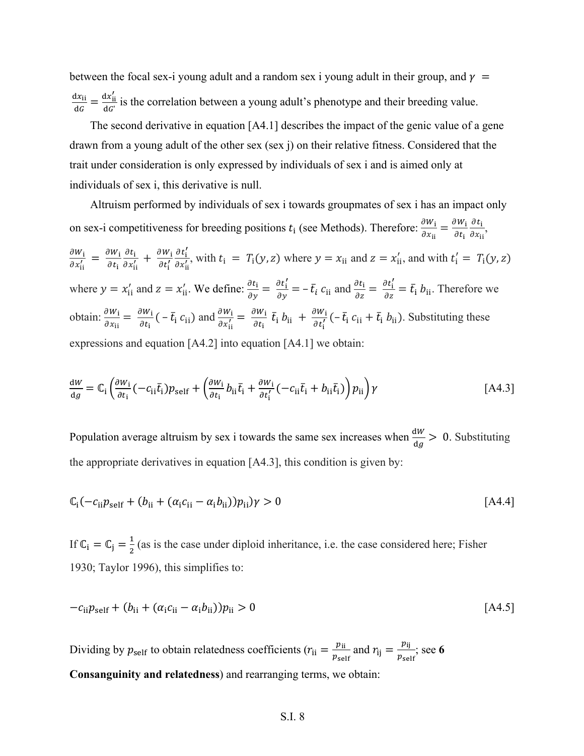between the focal sex-i young adult and a random sex i young adult in their group, and  $\gamma$  $\frac{dx_{ii}}{dG} = \frac{dx'_{ii}}{dG'}$  is the correlation between a young adult's phenotype and their breeding value.

The second derivative in equation [A4.1] describes the impact of the genic value of a gene drawn from a young adult of the other sex (sex j) on their relative fitness. Considered that the trait under consideration is only expressed by individuals of sex i and is aimed only at individuals of sex i, this derivative is null.

Altruism performed by individuals of sex i towards groupmates of sex i has an impact only on sex-i competitiveness for breeding positions  $t_i$  (see Methods). Therefore:  $\frac{\partial w_i}{\partial x_{ii}} = \frac{\partial w_i}{\partial t_i}$  $\partial t_{\mathbf{i}}$  $\frac{\partial \iota_i}{\partial x_{ii}},$  $\partial W_{\bf i}$  $\frac{\partial W_{\rm i}}{\partial x'_{\rm ii}} = \frac{\partial W_{\rm i}}{\partial t_{\rm i}}$  $\partial t_{\mathbf{i}}$  $\frac{\partial t_i}{\partial x'_{ii}} + \frac{\partial W_i}{\partial t'_i} \frac{\partial t'_i}{\partial x'_{ii}}$  $\frac{\partial t_i}{\partial x_i'}$ , with  $t_i = T_i(y, z)$  where  $y = x_{ii}$  and  $z = x'_{ii}$ , and with  $t'_i = T_i(y, z)$ where  $y = x'_{ii}$  and  $z = x'_{ii}$ . We define:  $\frac{\partial t_i}{\partial y} = \frac{\partial t'_i}{\partial y} = -\bar{t}_i c_{ii}$  and  $\frac{\partial t_i}{\partial z} = \frac{\partial t'_i}{\partial z} = \bar{t}_i b_{ii}$ . Therefore we obtain:  $\frac{\partial w_i}{\partial x_{ii}} = \frac{\partial w_i}{\partial t_i} \left( - \bar{t}_i c_{ii} \right)$  and  $\frac{\partial w_i}{\partial x'_{ii}} = \frac{\partial w_i}{\partial t_i} \bar{t}_i b_{ii} + \frac{\partial w_i}{\partial t'_i} \left( - \bar{t}_i c_{ii} + \bar{t}_i b_{ii} \right)$ . Substituting these expressions and equation [A4.2] into equation [A4.1] we obtain:

$$
\frac{\mathrm{d}W}{\mathrm{d}g} = \mathbb{C}_{\mathrm{i}} \left( \frac{\partial w_{\mathrm{i}}}{\partial t_{\mathrm{i}}} (-c_{\mathrm{i}1} \bar{t}_{\mathrm{i}}) p_{\mathrm{self}} + \left( \frac{\partial w_{\mathrm{i}}}{\partial t_{\mathrm{i}}} b_{\mathrm{i}1} \bar{t}_{\mathrm{i}} + \frac{\partial w_{\mathrm{i}}}{\partial t_{\mathrm{i}}'} (-c_{\mathrm{i}1} \bar{t}_{\mathrm{i}} + b_{\mathrm{i}1} \bar{t}_{\mathrm{i}}) \right) p_{\mathrm{ii}} \right) \gamma \tag{A4.3}
$$

Population average altruism by sex i towards the same sex increases when  $\frac{dw}{dg} > 0$ . Substituting the appropriate derivatives in equation [A4.3], this condition is given by:

$$
\mathbb{C}_{i}(-c_{ii}p_{self} + (b_{ii} + (\alpha_i c_{ii} - \alpha_i b_{ii}))p_{ii})\gamma > 0
$$
\n[A4.4]

If  $\mathbb{C}_i = \mathbb{C}_j = \frac{1}{2}$  (as is the case under diploid inheritance, i.e. the case considered here; Fisher 1930; Taylor 1996), this simplifies to:

$$
-c_{ii}p_{self} + (b_{ii} + (\alpha_i c_{ii} - \alpha_i b_{ii}))p_{ii} > 0
$$
 [A4.5]

Dividing by  $p_{\text{self}}$  to obtain relatedness coefficients ( $r_{\text{ii}} = \frac{p_{\text{ii}}}{p_{\text{self}}}$  and  $r_{\text{ij}} = \frac{p_{\text{ij}}}{p_{\text{self}}}$ ; see 6 **Consanguinity and relatedness**) and rearranging terms, we obtain: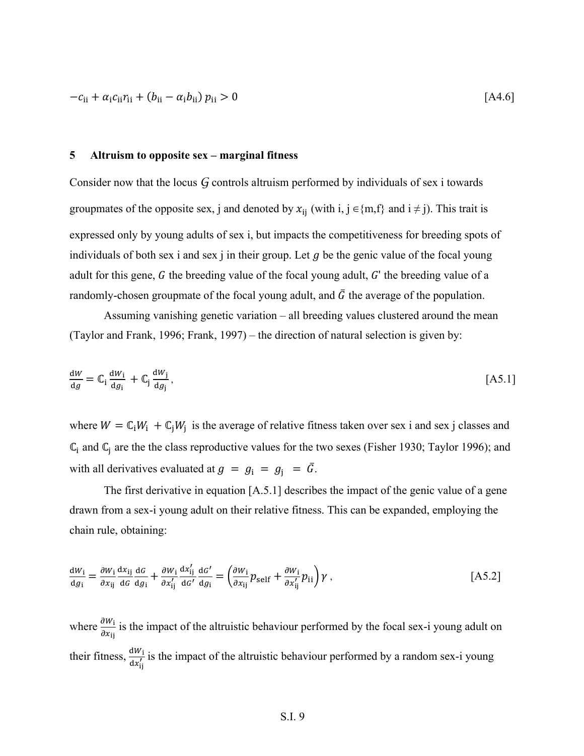$$
-c_{ii} + \alpha_i c_{ii} r_{ii} + (b_{ii} - \alpha_i b_{ii}) p_{ii} > 0
$$
 [A4.6]

#### **5 Altruism to opposite sex – marginal fitness**

Consider now that the locus *G* controls altruism performed by individuals of sex i towards groupmates of the opposite sex, j and denoted by  $x_{ij}$  (with i, j ∈{m,f} and i ≠ j). This trait is expressed only by young adults of sex i, but impacts the competitiveness for breeding spots of individuals of both sex i and sex j in their group. Let  $g$  be the genic value of the focal young adult for this gene,  $G$  the breeding value of the focal young adult,  $G'$  the breeding value of a randomly-chosen groupmate of the focal young adult, and  $\bar{G}$  the average of the population.

Assuming vanishing genetic variation – all breeding values clustered around the mean (Taylor and Frank, 1996; Frank, 1997) – the direction of natural selection is given by:

$$
\frac{\mathrm{d}W}{\mathrm{d}g} = \mathbb{C}_{\mathbf{i}} \frac{\mathrm{d}W_{\mathbf{i}}}{\mathrm{d}g_{\mathbf{i}}} + \mathbb{C}_{\mathbf{j}} \frac{\mathrm{d}W_{\mathbf{j}}}{\mathrm{d}g_{\mathbf{j}}},\tag{A5.1}
$$

where  $W = C_i W_i + C_j W_j$  is the average of relative fitness taken over sex i and sex j classes and  $\mathbb{C}_i$  and  $\mathbb{C}_j$  are the the class reproductive values for the two sexes (Fisher 1930; Taylor 1996); and with all derivatives evaluated at  $g = g_i = g_i = \bar{G}$ .

The first derivative in equation [A.5.1] describes the impact of the genic value of a gene drawn from a sex-i young adult on their relative fitness. This can be expanded, employing the chain rule, obtaining:

$$
\frac{d w_i}{d g_i} = \frac{\partial w_i}{\partial x_{ij}} \frac{d x_{ij}}{d G} \frac{d G}{d g_i} + \frac{\partial w_i}{\partial x'_{ij}} \frac{d x'_{ij}}{d G'} \frac{d G'}{d g_i} = \left(\frac{\partial w_i}{\partial x_{ij}} p_{\text{self}} + \frac{\partial w_i}{\partial x'_{ij}} p_{\text{ii}}\right) \gamma ,\tag{A5.2}
$$

where  $\frac{\partial w_i}{\partial x_{ij}}$  is the impact of the altruistic behaviour performed by the focal sex-i young adult on their fitness,  $\frac{dW_i}{dx'_i}$  is the impact of the altruistic behaviour performed by a random sex-i young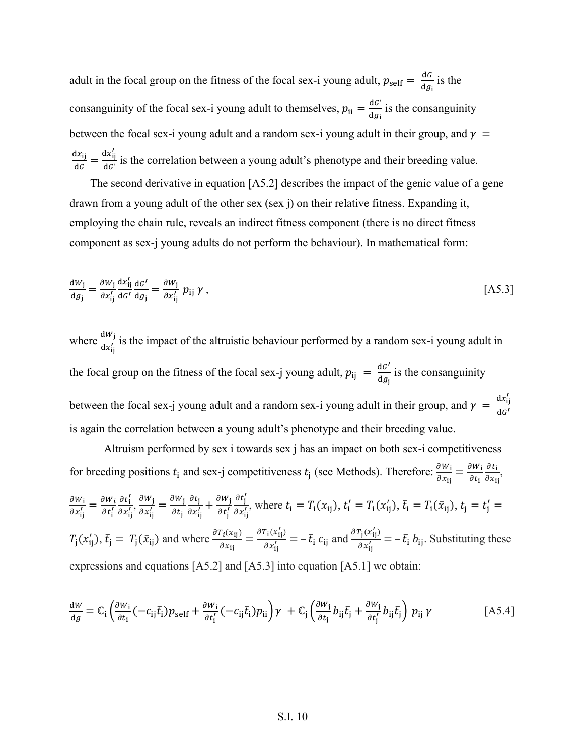adult in the focal group on the fitness of the focal sex-i young adult,  $p_{\text{self}} = \frac{dG}{dg_i}$  is the consanguinity of the focal sex-i young adult to themselves,  $p_{ii} = \frac{dG'}{dg_i}$  is the consanguinity between the focal sex-i young adult and a random sex-i young adult in their group, and  $\gamma$  =  $\frac{\mathrm{d}x_{ij}}{\mathrm{d}G} = \frac{\mathrm{d}x'_{ij}}{\mathrm{d}G'}$  $\frac{dS_{ij}}{dG'}$  is the correlation between a young adult's phenotype and their breeding value.

The second derivative in equation [A5.2] describes the impact of the genic value of a gene drawn from a young adult of the other sex (sex j) on their relative fitness. Expanding it, employing the chain rule, reveals an indirect fitness component (there is no direct fitness component as sex-j young adults do not perform the behaviour). In mathematical form:

$$
\frac{\mathrm{d}w_{j}}{\mathrm{d}g_{j}} = \frac{\partial w_{j}}{\partial x'_{ij}} \frac{\mathrm{d}x'_{ij}}{\mathrm{d}G'} \frac{\mathrm{d}G'}{\mathrm{d}g_{j}} = \frac{\partial w_{j}}{\partial x'_{ij}} p_{ij} \gamma, \qquad [\text{A5.3}]
$$

where  $\frac{dW_j}{dx'_{ij}}$  is the impact of the altruistic behaviour performed by a random sex-i young adult in the focal group on the fitness of the focal sex-j young adult,  $p_{ij} = \frac{dG'}{dg_j}$  is the consanguinity between the focal sex-j young adult and a random sex-i young adult in their group, and  $\gamma = \frac{dx_{ij}^2}{dt}$  $dG'$ is again the correlation between a young adult's phenotype and their breeding value.

Altruism performed by sex i towards sex j has an impact on both sex-i competitiveness for breeding positions  $t_i$  and sex-j competitiveness  $t_j$  (see Methods). Therefore:  $\frac{\partial w_i}{\partial x_{ij}} = \frac{\partial w_i}{\partial t_i}$  $\partial t_{\mathbf{i}}$  $\frac{\partial \iota_i}{\partial x_{ij}},$  $\partial W_{\bf i}$  $\frac{\partial w_{\rm i}}{\partial x'_{\rm ij}} = \frac{\partial w_{\rm i}}{\partial t'_{\rm i}} \frac{\partial t'_{\rm i}}{\partial x'_{\rm ij}}$  $\frac{\partial t'_i}{\partial x'_{ij}}, \frac{\partial W_j}{\partial x'_{ij}}$  $\frac{\partial W_{\rm j}}{\partial x'_{\rm ij}} = \frac{\partial W_{\rm j}}{\partial t_{\rm j}}$  $\partial t_{\mathsf{j}}$  $\frac{\partial t_j}{\partial x_{ij}'} + \frac{\partial W_j}{\partial t_j'}$  $\partial t_{\mathsf{j}}'$  $\partial t_{\mathsf{j}}'$  $\frac{\partial t_i}{\partial x'_{ij}}$ , where  $t_i = T_i(x_{ij}), t'_i = T_i(x'_{ij}), \bar{t}_i = T_i(\bar{x}_{ij}), t_j = t'_j =$  $T_j(x'_{ij}), \bar{t}_j = T_j(\bar{x}_{ij})$  and where  $\frac{\partial r_i(x_{ij})}{\partial x_{ij}} = \frac{\partial r_i(x'_{ij})}{\partial x'_{ij}}$  $\frac{r_i(x'_{ij})}{\partial x'_{ij}} = -\bar{t}_i c_{ij}$  and  $\frac{\partial r_j(x'_{ij})}{\partial x'_{ij}}$  $\frac{\partial^2 \vec{z}}{\partial x_{ij}'} = -\,\bar{t}_i \, b_{ij}$ . Substituting these expressions and equations [A5.2] and [A5.3] into equation [A5.1] we obtain:

$$
\frac{dW}{dg} = \mathbb{C}_{i} \left( \frac{\partial W_{i}}{\partial t_{i}} (-c_{ij} \bar{t}_{i}) p_{\text{self}} + \frac{\partial W_{i}}{\partial t'_{i}} (-c_{ij} \bar{t}_{i}) p_{\text{ii}} \right) \gamma + \mathbb{C}_{j} \left( \frac{\partial W_{j}}{\partial t_{j}} b_{ij} \bar{t}_{j} + \frac{\partial W_{j}}{\partial t'_{j}} b_{ij} \bar{t}_{j} \right) p_{\text{ij}} \gamma \qquad [A5.4]
$$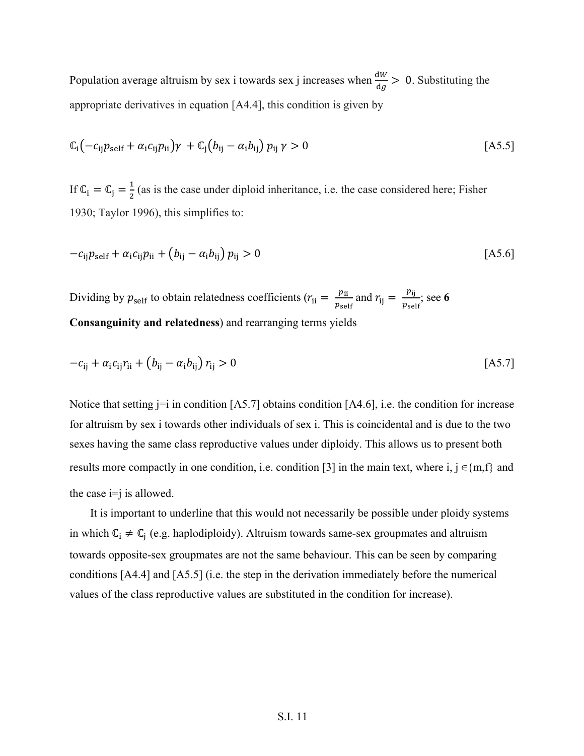Population average altruism by sex i towards sex j increases when  $\frac{dw}{dg} > 0$ . Substituting the appropriate derivatives in equation [A4.4], this condition is given by

$$
\mathbb{C}_{i}\left(-c_{ij}p_{self} + \alpha_{i}c_{ij}p_{ii}\right)\gamma + \mathbb{C}_{j}\left(b_{ij} - \alpha_{i}b_{ij}\right)p_{ij}\gamma > 0
$$
\n[A5.5]

If  $\mathbb{C}_i = \mathbb{C}_j = \frac{1}{2}$  (as is the case under diploid inheritance, i.e. the case considered here; Fisher 1930; Taylor 1996), this simplifies to:

$$
-c_{ij}p_{self} + \alpha_i c_{ij}p_{ii} + (b_{ij} - \alpha_i b_{ij})p_{ij} > 0
$$
\n
$$
[A5.6]
$$

Dividing by  $p_{self}$  to obtain relatedness coefficients ( $r_{ii} = \frac{p_{ii}}{p_{self}}$  and  $r_{ij} = \frac{p_{ij}}{p_{self}}$ ; see 6 **Consanguinity and relatedness**) and rearranging terms yields

$$
-c_{ij} + \alpha_i c_{ij} r_{ii} + (b_{ij} - \alpha_i b_{ij}) r_{ij} > 0
$$
 [A5.7]

Notice that setting  $j=i$  in condition [A5.7] obtains condition [A4.6], i.e. the condition for increase for altruism by sex i towards other individuals of sex i. This is coincidental and is due to the two sexes having the same class reproductive values under diploidy. This allows us to present both results more compactly in one condition, i.e. condition [3] in the main text, where i, j  $\in$ {m,f} and the case  $i=j$  is allowed.

It is important to underline that this would not necessarily be possible under ploidy systems in which  $\mathbb{C}_i \neq \mathbb{C}_j$  (e.g. haplodiploidy). Altruism towards same-sex groupmates and altruism towards opposite-sex groupmates are not the same behaviour. This can be seen by comparing conditions [A4.4] and [A5.5] (i.e. the step in the derivation immediately before the numerical values of the class reproductive values are substituted in the condition for increase).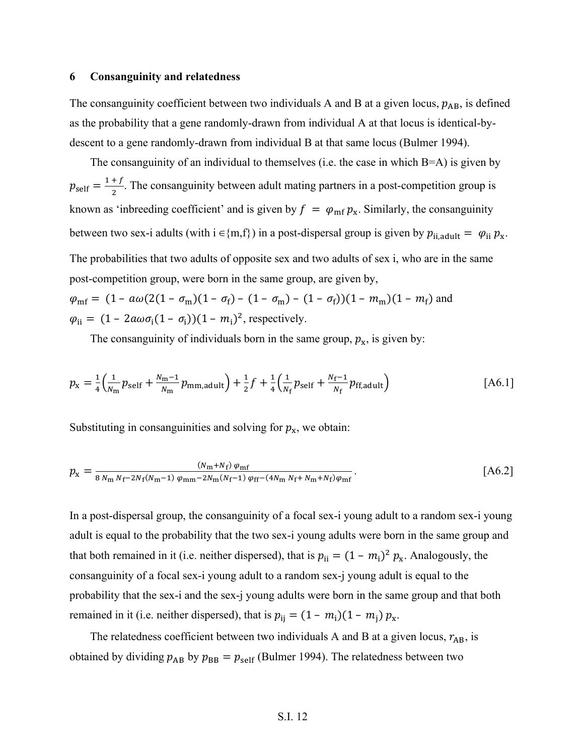#### 6 **Consanguinity and relatedness**

The consanguinity coefficient between two individuals A and B at a given locus,  $p_{AB}$ , is defined as the probability that a gene randomly-drawn from individual A at that locus is identical-bydescent to a gene randomly-drawn from individual B at that same locus (Bulmer 1994).

The consanguinity of an individual to themselves (i.e. the case in which  $B=A$ ) is given by  $p_{\text{self}} = \frac{1+f}{2}$ . The consanguinity between adult mating partners in a post-competition group is known as 'inbreeding coefficient' and is given by  $f = \varphi_{\rm mf} p_{\rm x}$ . Similarly, the consanguinity between two sex-i adults (with  $i \in \{m, f\}$ ) in a post-dispersal group is given by  $p_{ii, adult} = \varphi_{ii} p_x$ . The probabilities that two adults of opposite sex and two adults of sex i, who are in the same post-competition group, were born in the same group, are given by,  $\varphi_{\rm mf} = (1 - a\omega(2(1 - \sigma_{\rm m})(1 - \sigma_{\rm f}) - (1 - \sigma_{\rm m}) - (1 - \sigma_{\rm f}))(1 - m_{\rm m})(1 - m_{\rm f})$  and  $\varphi_{ii} = (1 - 2a\omega\sigma_i(1 - \sigma_i))(1 - m_i)^2$ , respectively.

The consanguinity of individuals born in the same group,  $p_x$ , is given by:

$$
p_{x} = \frac{1}{4} \left( \frac{1}{N_{m}} p_{\text{self}} + \frac{N_{m} - 1}{N_{m}} p_{\text{mm}, \text{adult}} \right) + \frac{1}{2} f + \frac{1}{4} \left( \frac{1}{N_{f}} p_{\text{self}} + \frac{N_{f} - 1}{N_{f}} p_{\text{ff}, \text{adult}} \right)
$$
 [A6.1]

Substituting in consanguinities and solving for  $p_x$ , we obtain:

$$
p_{x} = \frac{(N_{m} + N_{f})\varphi_{mf}}{8 N_{m} N_{f} - 2N_{f}(N_{m} - 1)\varphi_{mm} - 2N_{m}(N_{f} - 1)\varphi_{ff} - (4N_{m} N_{f} + N_{m} + N_{f})\varphi_{mf}}.
$$
 [A6.2]

In a post-dispersal group, the consanguinity of a focal sex-i young adult to a random sex-i young adult is equal to the probability that the two sex-i young adults were born in the same group and that both remained in it (i.e. neither dispersed), that is  $p_{ii} = (1 - m_i)^2 p_x$ . Analogously, the consanguinity of a focal sex-i young adult to a random sex-j young adult is equal to the probability that the sex-i and the sex-j young adults were born in the same group and that both remained in it (i.e. neither dispersed), that is  $p_{ij} = (1 - m_i)(1 - m_j) p_x$ .

The relatedness coefficient between two individuals A and B at a given locus,  $r_{AB}$ , is obtained by dividing  $p_{AB}$  by  $p_{BB} = p_{self}$  (Bulmer 1994). The relatedness between two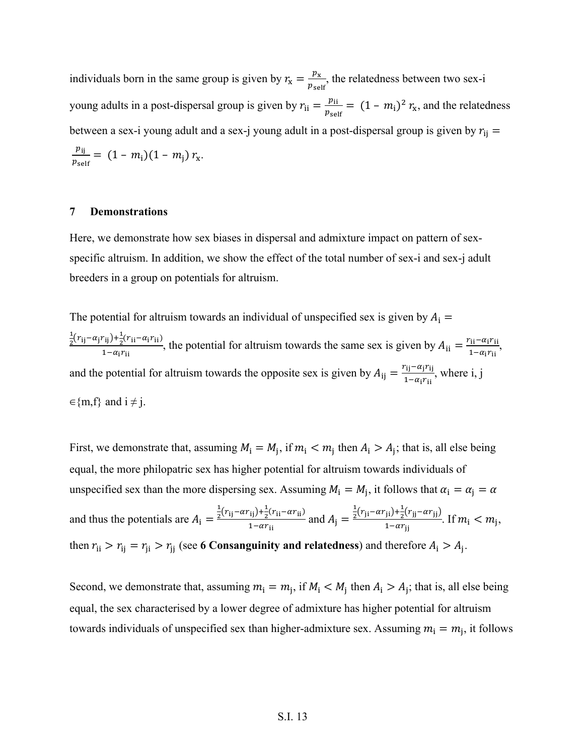individuals born in the same group is given by  $r_x = \frac{p_x}{p_{self}}$ , the relatedness between two sex-i young adults in a post-dispersal group is given by  $r_{ii} = \frac{p_{ii}}{p_{\text{self}}} = (1 - m_i)^2 r_x$ , and the relatedness between a sex-i young adult and a sex-j young adult in a post-dispersal group is given by  $r_{ij}$  =  $\frac{p_{ij}}{p_{\text{self}}} = (1 - m_i)(1 - m_j) r_x.$ 

#### $\overline{7}$ **Demonstrations**

Here, we demonstrate how sex biases in dispersal and admixture impact on pattern of sexspecific altruism. In addition, we show the effect of the total number of sex-i and sex-j adult breeders in a group on potentials for altruism.

The potential for altruism towards an individual of unspecified sex is given by  $A_i =$  $\frac{\frac{1}{2}(r_{ij}-\alpha_j r_{ij})+\frac{1}{2}(r_{ii}-\alpha_i r_{ii})}{1-\alpha_i r_{ii}},$  the potential for altruism towards the same sex is given by  $A_{ii} = \frac{r_{ii}-\alpha_i r_{ii}}{1-\alpha_i r_{ii}},$ and the potential for altruism towards the opposite sex is given by  $A_{ij} = \frac{r_{ij} - \alpha_j r_{ij}}{1 - \alpha_i r_{ii}}$ , where i, j  $\in$ {m,f} and i  $\neq$  j.

First, we demonstrate that, assuming  $M_i = M_j$ , if  $m_i < m_j$  then  $A_i > A_j$ ; that is, all else being equal, the more philopatric sex has higher potential for altruism towards individuals of unspecified sex than the more dispersing sex. Assuming  $M_i = M_i$ , it follows that  $\alpha_i = \alpha_i = \alpha$ and thus the potentials are  $A_i = \frac{\frac{1}{2}(r_{ij} - \alpha r_{ij}) + \frac{1}{2}(r_{ii} - \alpha r_{ii})}{1 - \alpha r_{ii}}$  and  $A_j = \frac{\frac{1}{2}(r_{ji} - \alpha r_{ji}) + \frac{1}{2}(r_{jj} - \alpha r_{ij})}{1 - \alpha r_{ii}}$ . If  $m_i < m_j$ , then  $r_{ii} > r_{ij} = r_{ji} > r_{jj}$  (see 6 Consanguinity and relatedness) and therefore  $A_i > A_j$ .

Second, we demonstrate that, assuming  $m_i = m_i$ , if  $M_i < M_i$  then  $A_i > A_i$ ; that is, all else being equal, the sex characterised by a lower degree of admixture has higher potential for altruism towards individuals of unspecified sex than higher-admixture sex. Assuming  $m_i = m_i$ , it follows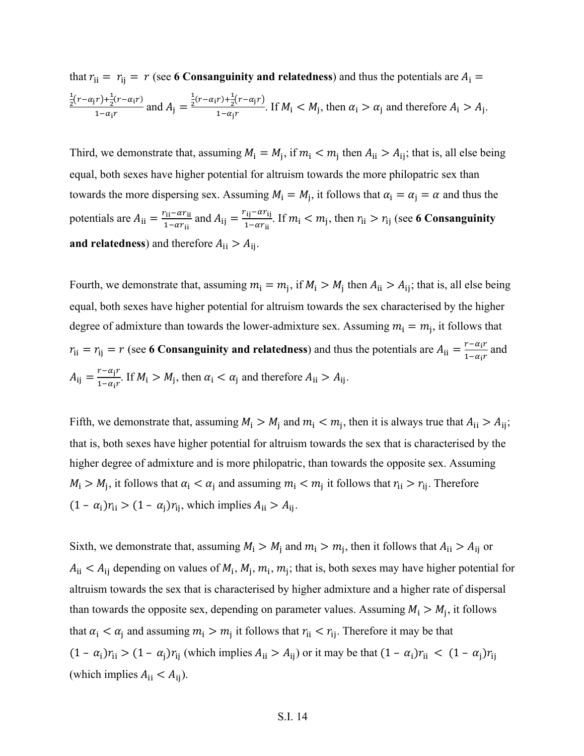that  $r_{ii} = r_{ij} = r$  (see 6 Consanguinity and relatedness) and thus the potentials are  $A_i =$  $\frac{\frac{1}{2}(r-\alpha_jr)+\frac{1}{2}(r-\alpha_i r)}{1-\alpha_i r}$  and  $A_j = \frac{\frac{1}{2}(r-\alpha_jr)+\frac{1}{2}(r-\alpha_jr)}{1-\alpha_i r}$ . If  $M_i < M_j$ , then  $\alpha_i > \alpha_j$  and therefore  $A_i > A_j$ .

Third, we demonstrate that, assuming  $M_i = M_i$ , if  $m_i < m_i$  then  $A_{ii} > A_{ii}$ ; that is, all else being equal, both sexes have higher potential for altruism towards the more philopatric sex than towards the more dispersing sex. Assuming  $M_i = M_i$ , it follows that  $\alpha_i = \alpha_i = \alpha$  and thus the potentials are  $A_{ii} = \frac{r_{ii} - \alpha r_{ii}}{1 - \alpha r_{ii}}$  and  $A_{ij} = \frac{r_{ij} - \alpha r_{ij}}{1 - \alpha r_{ii}}$ . If  $m_i < m_j$ , then  $r_{ii} > r_{ij}$  (see 6 Consanguinity **and relatedness**) and therefore  $A_{ii} > A_{ii}$ .

Fourth, we demonstrate that, assuming  $m_i = m_j$ , if  $M_i > M_j$  then  $A_{ii} > A_{ij}$ ; that is, all else being equal, both sexes have higher potential for altruism towards the sex characterised by the higher degree of admixture than towards the lower-admixture sex. Assuming  $m_i = m_i$ , it follows that  $r_{ii} = r_{ij} = r$  (see 6 Consanguinity and relatedness) and thus the potentials are  $A_{ii} = \frac{r - a_i r}{1 - a_i r}$  and  $A_{ij} = \frac{r - \alpha_j r}{1 - \alpha_i r}$ . If  $M_i > M_j$ , then  $\alpha_i < \alpha_j$  and therefore  $A_{ii} > A_{ij}$ .

Fifth, we demonstrate that, assuming  $M_i > M_j$  and  $m_i < m_j$ , then it is always true that  $A_{ii} > A_{ij}$ ; that is, both sexes have higher potential for altruism towards the sex that is characterised by the higher degree of admixture and is more philopatric, than towards the opposite sex. Assuming  $M_i > M_j$ , it follows that  $\alpha_i < \alpha_j$  and assuming  $m_i < m_j$  it follows that  $r_{ii} > r_{ij}$ . Therefore  $(1 - \alpha_i)r_{ii} > (1 - \alpha_j)r_{ij}$ , which implies  $A_{ii} > A_{ij}$ .

Sixth, we demonstrate that, assuming  $M_i > M_j$  and  $m_i > m_j$ , then it follows that  $A_{ii} > A_{ij}$  or  $A_{ii} < A_{ii}$  depending on values of  $M_i$ ,  $M_i$ ,  $m_i$ ,  $m_i$ ; that is, both sexes may have higher potential for altruism towards the sex that is characterised by higher admixture and a higher rate of dispersal than towards the opposite sex, depending on parameter values. Assuming  $M_i > M_i$ , it follows that  $\alpha_i < \alpha_i$  and assuming  $m_i > m_i$  it follows that  $r_{ii} < r_{ii}$ . Therefore it may be that  $(1 - \alpha_i)r_{ii} > (1 - \alpha_i)r_{ii}$  (which implies  $A_{ii} > A_{ii}$ ) or it may be that  $(1 - \alpha_i)r_{ii} < (1 - \alpha_i)r_{ii}$ (which implies  $A_{ii} < A_{ij}$ ).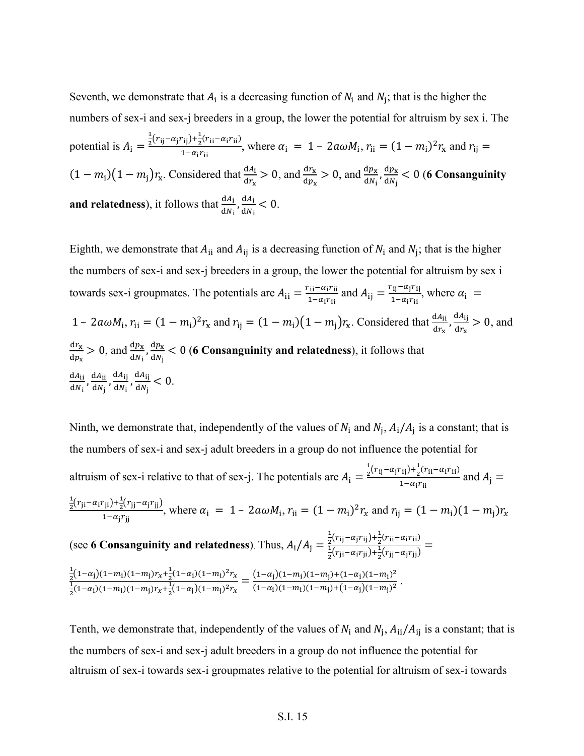Seventh, we demonstrate that  $A_i$  is a decreasing function of  $N_i$  and  $N_i$ ; that is the higher the numbers of sex-i and sex-j breeders in a group, the lower the potential for altruism by sex i. The potential is  $A_i = \frac{\frac{1}{2}(r_{ij} - \alpha_j r_{ij}) + \frac{1}{2}(r_{ii} - \alpha_i r_{ii})}{1 - \alpha_i r_{ii}}$ , where  $\alpha_i = 1 - 2a\omega M_i$ ,  $r_{ii} = (1 - m_i)^2 r_x$  and  $r_{ij} =$  $(1-m_i)(1-m_j) r_x$ . Considered that  $\frac{dA_i}{dr_x} > 0$ , and  $\frac{dr_x}{dp_x} > 0$ , and  $\frac{dp_x}{dN_i}$ ,  $\frac{dp_x}{dN_i} < 0$  (6 Consanguinity **and relatedness**), it follows that  $\frac{dA_i}{dN_i}$ ,  $\frac{dA_i}{dN_i} < 0$ .

Eighth, we demonstrate that  $A_{ii}$  and  $A_{ij}$  is a decreasing function of  $N_i$  and  $N_j$ ; that is the higher the numbers of sex-i and sex-j breeders in a group, the lower the potential for altruism by sex i towards sex-i groupmates. The potentials are  $A_{ii} = \frac{r_{ii} - \alpha_i r_{ii}}{1 - \alpha_i r_{ii}}$  and  $A_{ij} = \frac{r_{ij} - \alpha_j r_{ij}}{1 - \alpha_i r_{ii}}$ , where  $\alpha_i$ 1 - 2aω $M_i$ ,  $r_{ii} = (1 - m_i)^2 r_x$  and  $r_{ij} = (1 - m_i)(1 - m_j)r_x$ . Considered that  $\frac{dA_{ii}}{dr_x}, \frac{dA_{ij}}{dr_x} > 0$ , and  $\frac{dr_x}{dr_y} > 0$ , and  $\frac{dp_x}{dr_x}$ ,  $\frac{dp_x}{dr_x} < 0$  (6 Consanguinity and relatedness), it follows that  $\frac{dA_{ii}}{dN_i}, \frac{dA_{ii}}{dN_i}, \frac{dA_{ij}}{dN_i}, \frac{dA_{ij}}{dN_i} < 0.$ 

Ninth, we demonstrate that, independently of the values of  $N_i$  and  $N_j$ ,  $A_i/A_j$  is a constant; that is the numbers of sex-i and sex-j adult breeders in a group do not influence the potential for altruism of sex-i relative to that of sex-j. The potentials are  $A_i = \frac{\frac{1}{2}(r_{ij} - \alpha_j r_{ij}) + \frac{1}{2}(r_{ii} - \alpha_i r_{ii})}{1 - \alpha_i r_{ii}}$  and  $A_j =$  $\frac{\frac{1}{2}(r_{ji}-\alpha_i r_{ji})+\frac{1}{2}(r_{jj}-\alpha_j r_{jj})}{1-\alpha_i r_{ii}}$ , where  $\alpha_i = 1 - 2a\omega M_i$ ,  $r_{ii} = (1 - m_i)^2 r_x$  and  $r_{ij} = (1 - m_i)(1 - m_j)r_x$ (see 6 Consanguinity and relatedness). Thus,  $A_i/A_j = \frac{\frac{1}{2}(r_{ij}-\alpha_j r_{ij}) + \frac{1}{2}(r_{ii}-\alpha_i r_{ii})}{\frac{1}{2}(r_{ii}-\alpha_i r_{ii}) + \frac{1}{2}(r_{ii}-\alpha_i r_{ii})}$  $\frac{\frac{1}{2}(1-\alpha_j)(1-m_1)(1-m_j)r_x+\frac{1}{2}(1-\alpha_i)(1-m_1)^2r_x}{\frac{1}{2}(1-\alpha_i)(1-m_1)(1-m_1)r_x+\frac{1}{2}(1-\alpha_i)(1-m_1)^2r_x}=\frac{(1-\alpha_j)(1-m_1)(1-m_j)+(1-\alpha_j)(1-m_1)^2}{(1-\alpha_j)(1-m_1)(1-m_1)+(1-\alpha_j)(1-m_1)^2}.$ 

Tenth, we demonstrate that, independently of the values of  $N_i$  and  $N_j$ ,  $A_{ii}/A_{ij}$  is a constant; that is the numbers of sex-i and sex-j adult breeders in a group do not influence the potential for altruism of sex-i towards sex-i groupmates relative to the potential for altruism of sex-i towards